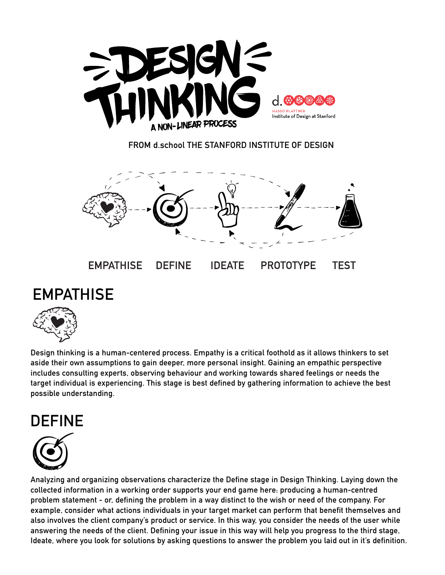

**FROM d.school THE STANFORD INSTITUTE OF DESIGN**



## **EMPATHISE**



**Design thinking is a human-centered process. Empathy is a critical foothold as it allows thinkers to set aside their own assumptions to gain deeper, more personal insight. Gaining an empathic perspective includes consulting experts, observing behaviour and working towards shared feelings or needs the target individual is experiencing. This stage is best defined by gathering information to achieve the best possible understanding.** 

## **DEFINE**



**Analyzing and organizing observations characterize the Define stage in Design Thinking. Laying down the collected information in a working order supports your end game here: producing a human-centred problem statement - or, defining the problem in a way distinct to the wish or need of the company. For example, consider what actions individuals in your target market can perform that benefit themselves and also involves the client company's product or service. In this way, you consider the needs of the user while answering the needs of the client. Defining your issue in this way will help you progress to the third stage, Ideate, where you look for solutions by asking questions to answer the problem you laid out in it's definition.**